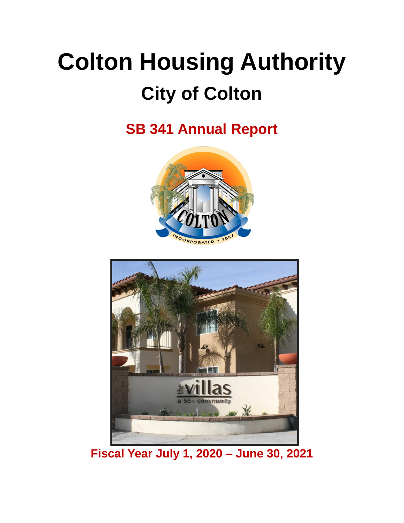# **Colton Housing Authority City of Colton**

**SB 341 Annual Report**





**Fiscal Year July 1, 2020 – June 30, 2021**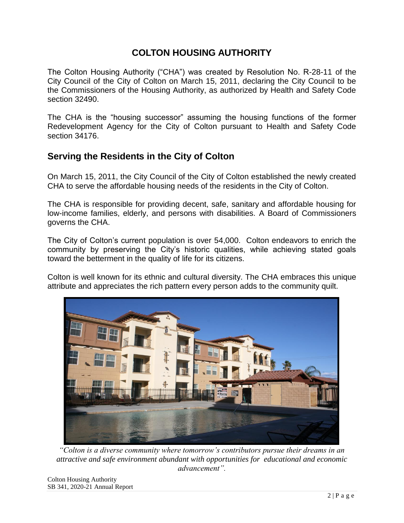## **COLTON HOUSING AUTHORITY**

The Colton Housing Authority ("CHA") was created by Resolution No. R-28-11 of the City Council of the City of Colton on March 15, 2011, declaring the City Council to be the Commissioners of the Housing Authority, as authorized by Health and Safety Code section 32490.

The CHA is the "housing successor" assuming the housing functions of the former Redevelopment Agency for the City of Colton pursuant to Health and Safety Code section 34176.

## **Serving the Residents in the City of Colton**

On March 15, 2011, the City Council of the City of Colton established the newly created CHA to serve the affordable housing needs of the residents in the City of Colton.

The CHA is responsible for providing decent, safe, sanitary and affordable housing for low-income families, elderly, and persons with disabilities. A Board of Commissioners governs the CHA.

The City of Colton's current population is over 54,000. Colton endeavors to enrich the community by preserving the City's historic qualities, while achieving stated goals toward the betterment in the quality of life for its citizens.

Colton is well known for its ethnic and cultural diversity. The CHA embraces this unique attribute and appreciates the rich pattern every person adds to the community quilt.



*"Colton is a diverse community where tomorrow's contributors pursue their dreams in an attractive and safe environment abundant with opportunities for educational and economic advancement".*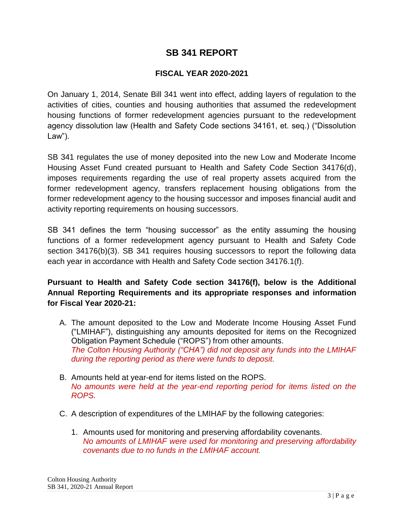### **SB 341 REPORT**

#### **FISCAL YEAR 2020-2021**

On January 1, 2014, Senate Bill 341 went into effect, adding layers of regulation to the activities of cities, counties and housing authorities that assumed the redevelopment housing functions of former redevelopment agencies pursuant to the redevelopment agency dissolution law (Health and Safety Code sections 34161, et. seq.) ("Dissolution Law").

SB 341 regulates the use of money deposited into the new Low and Moderate Income Housing Asset Fund created pursuant to Health and Safety Code Section 34176(d), imposes requirements regarding the use of real property assets acquired from the former redevelopment agency, transfers replacement housing obligations from the former redevelopment agency to the housing successor and imposes financial audit and activity reporting requirements on housing successors.

SB 341 defines the term "housing successor" as the entity assuming the housing functions of a former redevelopment agency pursuant to Health and Safety Code section 34176(b)(3). SB 341 requires housing successors to report the following data each year in accordance with Health and Safety Code section 34176.1(f).

#### **Pursuant to Health and Safety Code section 34176(f), below is the Additional Annual Reporting Requirements and its appropriate responses and information for Fiscal Year 2020-21:**

- A. The amount deposited to the Low and Moderate Income Housing Asset Fund ("LMIHAF"), distinguishing any amounts deposited for items on the Recognized Obligation Payment Schedule ("ROPS") from other amounts. *The Colton Housing Authority ("CHA") did not deposit any funds into the LMIHAF during the reporting period as there were funds to deposit.*
- B. Amounts held at year-end for items listed on the ROPS. *No amounts were held at the year-end reporting period for items listed on the ROPS.*
- C. A description of expenditures of the LMIHAF by the following categories:
	- 1. Amounts used for monitoring and preserving affordability covenants. *No amounts of LMIHAF were used for monitoring and preserving affordability covenants due to no funds in the LMIHAF account.*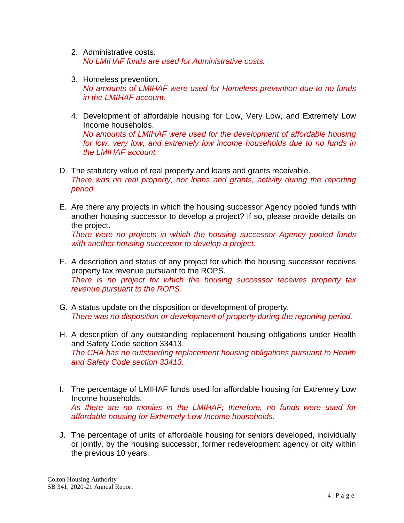- 2. Administrative costs. *No LMIHAF funds are used for Administrative costs.*
- 3. Homeless prevention. *No amounts of LMIHAF were used for Homeless prevention due to no funds in the LMIHAF account.*
- 4. Development of affordable housing for Low, Very Low, and Extremely Low Income households. *No amounts of LMIHAF were used for the development of affordable housing for low, very low, and extremely low income households due to no funds in the LMIHAF account.*
- D. The statutory value of real property and loans and grants receivable. *There was no real property, nor loans and grants, activity during the reporting period.*
- E. Are there any projects in which the housing successor Agency pooled funds with another housing successor to develop a project? If so, please provide details on the project.

*There were no projects in which the housing successor Agency pooled funds with another housing successor to develop a project.*

- F. A description and status of any project for which the housing successor receives property tax revenue pursuant to the ROPS. *There is no project for which the housing successor receives property tax revenue pursuant to the ROPS.*
- G. A status update on the disposition or development of property. *There was no disposition or development of property during the reporting period.*
- H. A description of any outstanding replacement housing obligations under Health and Safety Code section 33413. *The CHA has no outstanding replacement housing obligations pursuant to Health and Safety Code section 33413.*
- I. The percentage of LMIHAF funds used for affordable housing for Extremely Low Income households. *As there are no monies in the LMIHAF; therefore, no funds were used for affordable housing for Extremely Low Income households.*
- J. The percentage of units of affordable housing for seniors developed, individually or jointly, by the housing successor, former redevelopment agency or city within the previous 10 years.